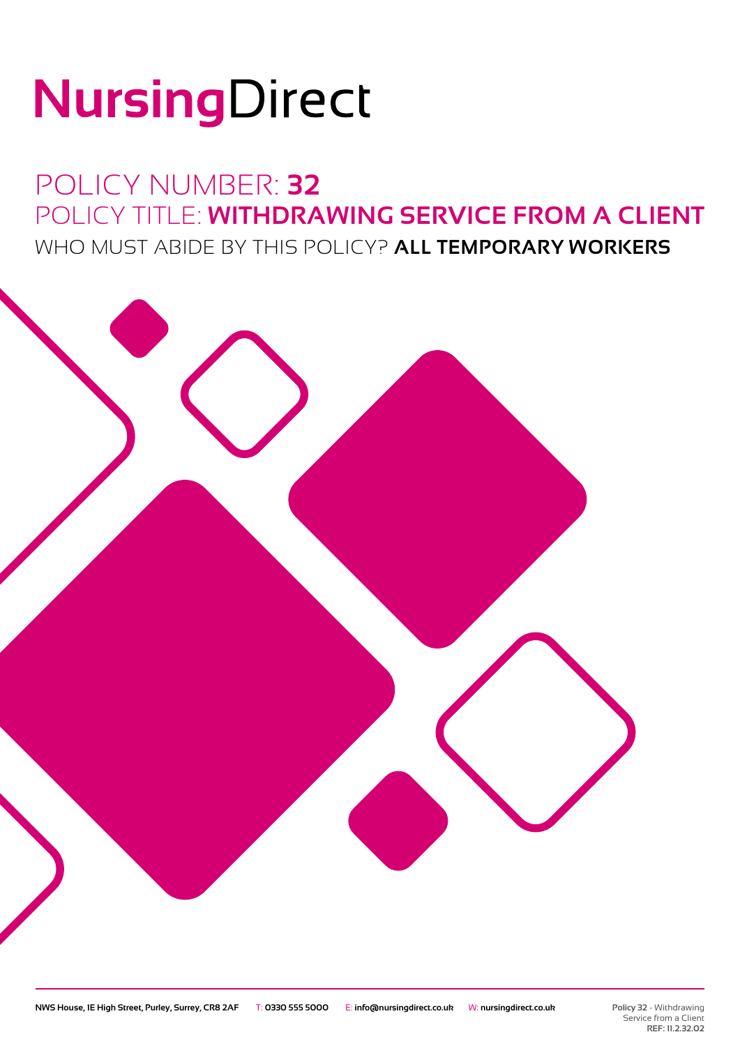# NursingDirect

## POLICY NUMBER: **32** POLICY TITLE: **WITHDRAWING SERVICE FROM A CLIENT** WHO MUST ABIDE BY THIS POLICY? **ALL TEMPORARY WORKERS**